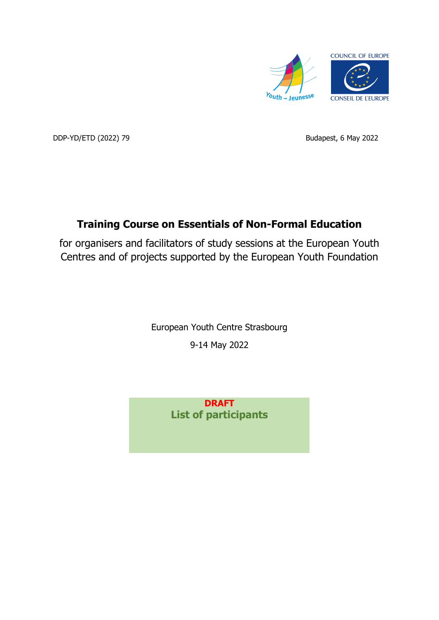

DDP-YD/ETD (2022) 79 Budapest, 6 May 2022

## **Training Course on Essentials of Non-Formal Education**

for organisers and facilitators of study sessions at the European Youth Centres and of projects supported by the European Youth Foundation

> European Youth Centre Strasbourg 9-14 May 2022

> > **DRAFT List of participants**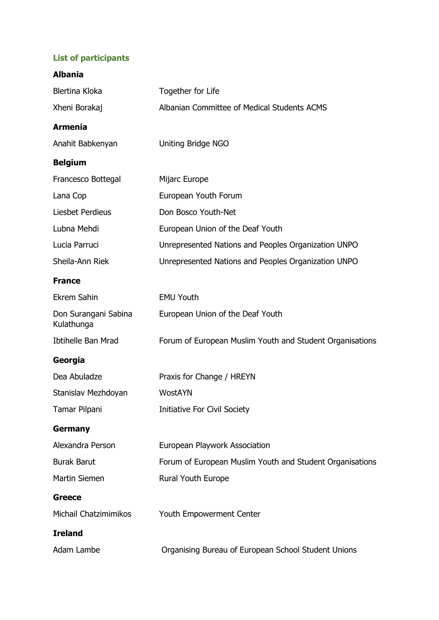## **List of participants**

| <b>Albania</b>                     |                                                          |
|------------------------------------|----------------------------------------------------------|
| Blertina Kloka                     | Together for Life                                        |
| Xheni Borakaj                      | Albanian Committee of Medical Students ACMS              |
| <b>Armenia</b>                     |                                                          |
| Anahit Babkenyan                   | <b>Uniting Bridge NGO</b>                                |
| <b>Belgium</b>                     |                                                          |
| Francesco Bottegal                 | Mijarc Europe                                            |
| Lana Cop                           | European Youth Forum                                     |
| Liesbet Perdieus                   | Don Bosco Youth-Net                                      |
| Lubna Mehdi                        | European Union of the Deaf Youth                         |
| Lucia Parruci                      | Unrepresented Nations and Peoples Organization UNPO      |
| Sheila-Ann Riek                    | Unrepresented Nations and Peoples Organization UNPO      |
| <b>France</b>                      |                                                          |
| <b>Ekrem Sahin</b>                 | <b>EMU Youth</b>                                         |
| Don Surangani Sabina<br>Kulathunga | European Union of the Deaf Youth                         |
| <b>Ibtihelle Ban Mrad</b>          | Forum of European Muslim Youth and Student Organisations |
| Georgia                            |                                                          |
| Dea Abuladze                       | Praxis for Change / HREYN                                |
| Stanislav Mezhdoyan                | WostAYN                                                  |
| Tamar Pilpani                      | Initiative For Civil Society                             |
| <b>Germany</b>                     |                                                          |
| Alexandra Person                   | European Playwork Association                            |
| <b>Burak Barut</b>                 | Forum of European Muslim Youth and Student Organisations |
| Martin Siemen                      | Rural Youth Europe                                       |
| <b>Greece</b>                      |                                                          |
| Michail Chatzimimikos              | Youth Empowerment Center                                 |
| <b>Ireland</b>                     |                                                          |
| Adam Lambe                         | Organising Bureau of European School Student Unions      |